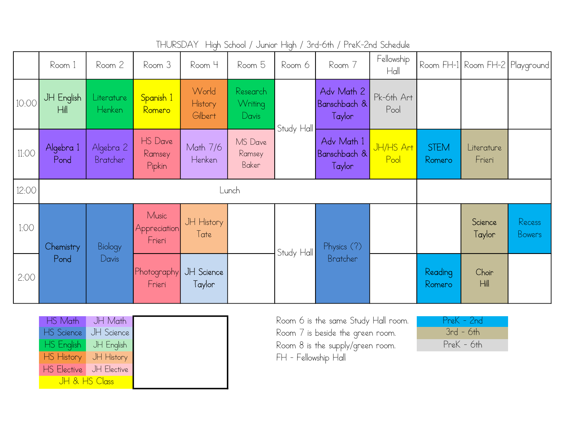|       | Room 1            | Room 2                  | Room 3                          | Room 4                      | Room 5                       | Room 6     | Room 7                               | Fellowship<br>Hall |                       | Room FH-1  Room FH-2  Playground |                         |
|-------|-------------------|-------------------------|---------------------------------|-----------------------------|------------------------------|------------|--------------------------------------|--------------------|-----------------------|----------------------------------|-------------------------|
| 10:00 | JH English<br>Hil | Literature<br>Henken    | Spanish 1<br>Romero             | World<br>History<br>Gilbert | Research<br>Writing<br>Davis | Study Hall | Adv Math 2<br>Banschbach &<br>Taylor | Pk-6th Art<br>Pool |                       |                                  |                         |
| 11:OO | Algebra 1<br>Pond | Algebra 2<br>Bratcher   | HS Dave<br>Ramsey<br>Pipkin     | Math 7/6<br>Henken          | MS Dave<br>Ramsey<br>Baker   |            | Adv Math 1<br>Banschbach &<br>Taylor | JH/HS Art<br>Pool  | <b>STEM</b><br>Romero | Literature<br>Frieri             |                         |
| 12:00 | Lunch             |                         |                                 |                             |                              |            |                                      |                    |                       |                                  |                         |
| 1:00  | Chemistry<br>Pond | <b>Biology</b><br>Davis | Music<br>Appreciation<br>Frieri | JH History<br>Tate          |                              | Study Hall | Physics (?)<br>Bratcher              |                    |                       | Science<br>Taylor                | Recess<br><b>Bowers</b> |
| 2:00  |                   |                         | Photography<br>Frieri           | JH Science<br>Taylor        |                              |            |                                      |                    | Reading<br>Romero     | Choir<br>Hill                    |                         |

THURSDAY High School / Junior High / 3rd-6th / PreK-2nd Schedule

| HS Math            | JH Math       |  |
|--------------------|---------------|--|
| HS Science         | JH Science    |  |
| HS English         | JH English    |  |
| HS History         | JH History    |  |
| <b>HS</b> Elective | $JH$ Elective |  |
| JH & HS Class      |               |  |

Room 6 is the same Study Hall room. Room 7 is beside the green room. Room 8 is the supply/green room. FH - Fellowship Hall

| PreK - 2nd   |  |
|--------------|--|
| $3rd - 6th$  |  |
| $PreK - 6th$ |  |